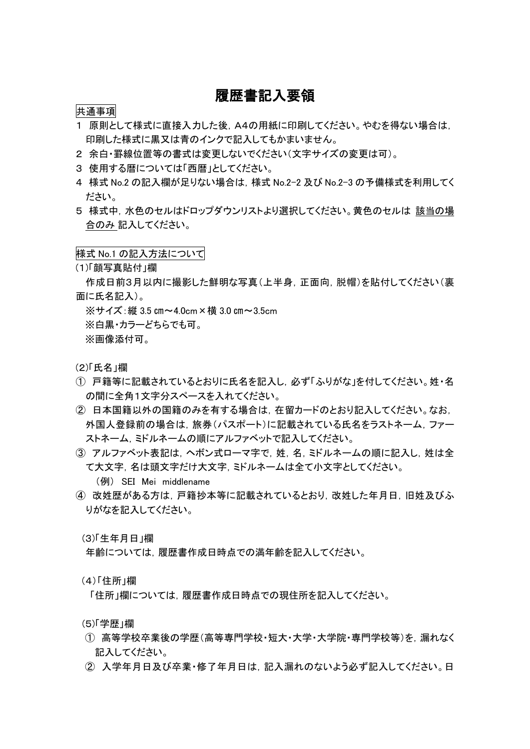## 履歴書記入要領

#### 共通事項

- 1 原則として様式に直接入力した後,A4の用紙に印刷してください。やむを得ない場合は, 印刷した様式に黒又は青のインクで記入してもかまいません。
- 2 余白・罫線位置等の書式は変更しないでください(文字サイズの変更は可)。
- 3 使用する暦については「西暦」としてください。
- 4 様式 No.2 の記入欄が足りない場合は,様式 No.2-2 及び No.2-3 の予備様式を利用してく ださい。
- 5 様式中,水色のセルはドロップダウンリストより選択してください。黄色のセルは 該当の場 合のみ 記入してください。

#### 様式 No.1 の記入方法について

(1)「顔写真貼付」欄

作成日前3月以内に撮影した鮮明な写真(上半身,正面向,脱帽)を貼付してください(裏 面に氏名記入)。

※サイズ:縦 3.5 ㎝~4.0cm×横 3.0 ㎝~3.5cm

※白黒・カラーどちらでも可。

※画像添付可。

(2)「氏名」欄

- ① 戸籍等に記載されているとおりに氏名を記入し,必ず「ふりがな」を付してください。姓・名 の間に全角1文字分スペースを入れてください。
- ② 日本国籍以外の国籍のみを有する場合は,在留カードのとおり記入してください。なお, 外国人登録前の場合は、旅券(パスポート)に記載されている氏名をラストネーム,ファー ストネーム,ミドルネームの順にアルファベットで記入してください。
- ③ アルファベット表記は,ヘボン式ローマ字で,姓,名,ミドルネームの順に記入し,姓は全 て大文字,名は頭文字だけ大文字,ミドルネームは全て小文字としてください。 (例) SEI Mei middlename
- ④ 改姓歴がある方は,戸籍抄本等に記載されているとおり,改姓した年月日,旧姓及びふ りがなを記入してください。

(3)「生年月日」欄

年齢については,履歴書作成日時点での満年齢を記入してください。

(4)「住所」欄

「住所」欄については,履歴書作成日時点での現住所を記入してください。

(5)「学歴」欄

- ① 高等学校卒業後の学歴(高等専門学校・短大・大学・大学院・専門学校等)を,漏れなく 記入してください。
- ② 入学年月日及び卒業・修了年月日は,記入漏れのないよう必ず記入してください。日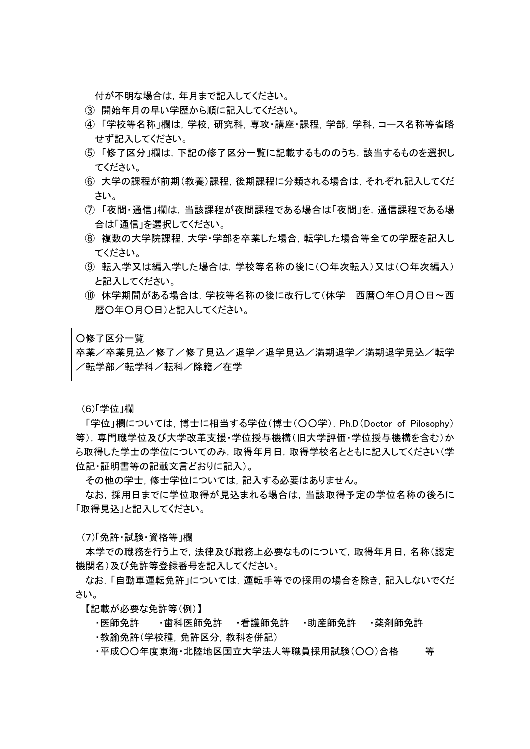付が不明な場合は,年月まで記入してください。

- ③ 開始年月の早い学歴から順に記入してください。
- ④ 「学校等名称」欄は,学校,研究科,専攻・講座・課程,学部,学科,コース名称等省略 せず記入してください。
- ⑤ 「修了区分」欄は,下記の修了区分一覧に記載するもののうち,該当するものを選択し てください。
- ⑥ 大学の課程が前期(教養)課程,後期課程に分類される場合は,それぞれ記入してくだ さい。
- ⑦ 「夜間・通信」欄は,当該課程が夜間課程である場合は「夜間」を,通信課程である場 合は「通信」を選択してください。
- ⑧ 複数の大学院課程,大学・学部を卒業した場合,転学した場合等全ての学歴を記入し てください。
- ⑨ 転入学又は編入学した場合は,学校等名称の後に(○年次転入)又は(○年次編入) と記入してください。
- ⑩ 休学期間がある場合は,学校等名称の後に改行して(休学 西暦○年○月○日~西 暦○年○月○日)と記入してください。

○修了区分一覧

卒業/卒業見込/修了/修了見込/退学/退学見込/満期退学/満期退学見込/転学 /転学部/転学科/転科/除籍/在学

(6)「学位」欄

「学位」欄については,博士に相当する学位(博士(○○学),Ph.D(Doctor of Pilosophy) 等),専門職学位及び大学改革支援・学位授与機構(旧大学評価・学位授与機構を含む)か ら取得した学士の学位についてのみ,取得年月日,取得学校名とともに記入してください(学 位記・証明書等の記載文言どおりに記入)。

その他の学士,修士学位については,記入する必要はありません。

なお,採用日までに学位取得が見込まれる場合は,当該取得予定の学位名称の後ろに 「取得見込」と記入してください。

(7)「免許・試験・資格等」欄

本学での職務を行う上で,法律及び職務上必要なものについて,取得年月日,名称(認定 機関名)及び免許等登録番号を記入してください。

なお,「自動車運転免許」については,運転手等での採用の場合を除き,記入しないでくだ さい。

【記載が必要な免許等(例)】

・医師免許 ・歯科医師免許 ・看護師免許 ・助産師免許 ・薬剤師免許

・教諭免許(学校種,免許区分,教科を併記)

・平成○○年度東海・北陸地区国立大学法人等職員採用試験(○○)合格 等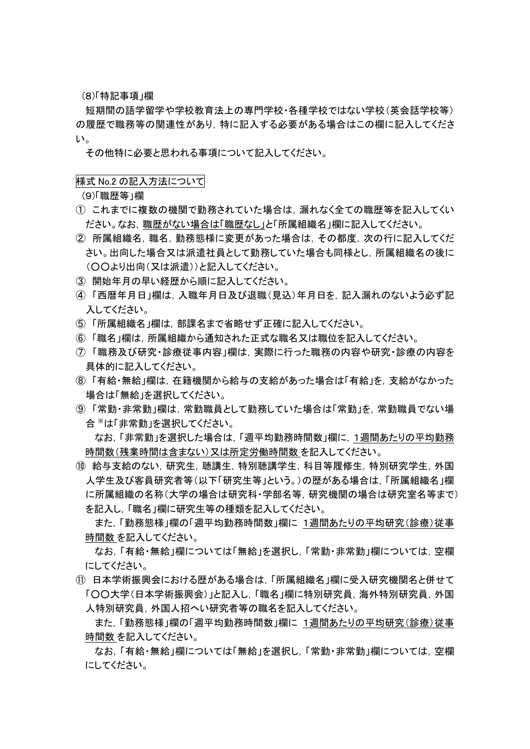(8)「特記事項」欄

短期間の語学留学や学校教育法上の専門学校・各種学校ではない学校(英会話学校等) の履歴で職務等の関連性があり,特に記入する必要がある場合はこの欄に記入してくださ い。

その他特に必要と思われる事項について記入してください。

様式 No.2 の記入方法について

(9)「職歴等」欄

- ① これまでに複数の機関で勤務されていた場合は,漏れなく全ての職歴等を記入してくい ださい。なお,職歴がない場合は「職歴なし」と「所属組織名」欄に記入してください。
- ② 所属組織名,職名,勤務態様に変更があった場合は,その都度,次の行に記入してくだ さい。出向した場合又は派遣社員として勤務していた場合も同様とし,所属組織名の後に (○○より出向(又は派遣))と記入してください。
- ③ 開始年月の早い経歴から順に記入してください。
- ④ 「西暦年月日」欄は,入職年月日及び退職(見込)年月日を,記入漏れのないよう必ず記 入してください。
- ⑤ 「所属組織名」欄は,部課名まで省略せず正確に記入してください。
- ⑥ 「職名」欄は,所属組織から通知された正式な職名又は職位を記入してください。
- ⑦ 「職務及び研究・診療従事内容」欄は,実際に行った職務の内容や研究・診療の内容を 具体的に記入してください。
- ⑧ 「有給・無給」欄は,在籍機関から給与の支給があった場合は「有給」を,支給がなかった 場合は「無給」を選択してください。
- ⑨ 「常勤・非常勤」欄は,常勤職員として勤務していた場合は「常勤」を,常勤職員でない場 合 ※は「非常勤」を選択してください。

なお,「非常勤」を選択した場合は,「週平均勤務時間数」欄に,1週間あたりの平均勤務 時間数(残業時間は含まない)又は所定労働時間数 を記入してください。

⑩ 給与支給のない,研究生,聴講生,特別聴講学生,科目等履修生,特別研究学生,外国 人学生及び客員研究者等(以下「研究生等」という。)の歴がある場合は,「所属組織名」欄 に所属組織の名称(大学の場合は研究科・学部名等,研究機関の場合は研究室名等まで) を記入し,「職名」欄に研究生等の種類を記入してください。

また,「勤務態様」欄の「週平均勤務時間数」欄に 1週間あたりの平均研究(診療)従事 時間数 を記入してください。

なお,「有給・無給」欄については「無給」を選択し,「常勤・非常勤」欄については,空欄 にしてください。

⑪ 日本学術振興会における歴がある場合は,「所属組織名」欄に受入研究機関名と併せて 「○○大学(日本学術振興会)」と記入し,「職名」欄に特別研究員,海外特別研究員,外国 人特別研究員,外国人招へい研究者等の職名を記入してください。

また,「勤務態様」欄の「週平均勤務時間数」欄に 1週間あたりの平均研究(診療)従事 時間数 を記入してください。

なお,「有給・無給」欄については「無給」を選択し,「常勤・非常勤」欄については,空欄 にしてください。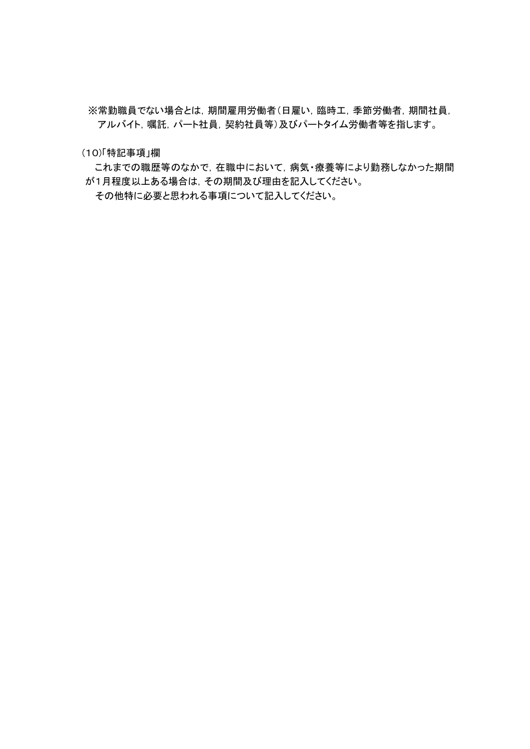※常勤職員でない場合とは,期間雇用労働者(日雇い,臨時工,季節労働者,期間社員, アルバイト,嘱託,パート社員,契約社員等)及びパートタイム労働者等を指します。

(10)「特記事項」欄

これまでの職歴等のなかで,在職中において,病気·療養等により勤務しなかった期間 が1月程度以上ある場合は,その期間及び理由を記入してください。

その他特に必要と思われる事項について記入してください。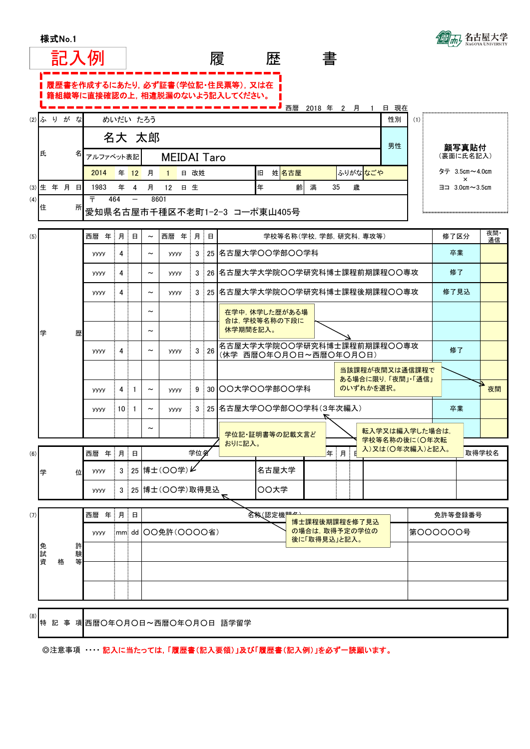|  | 様式No.1 |  |  |  |
|--|--------|--|--|--|
|--|--------|--|--|--|



◎注意事項 ・・・・ 記入に当たっては,「履歴書(記入要領)」及び「履歴書(記入例)」を必ず一読願います。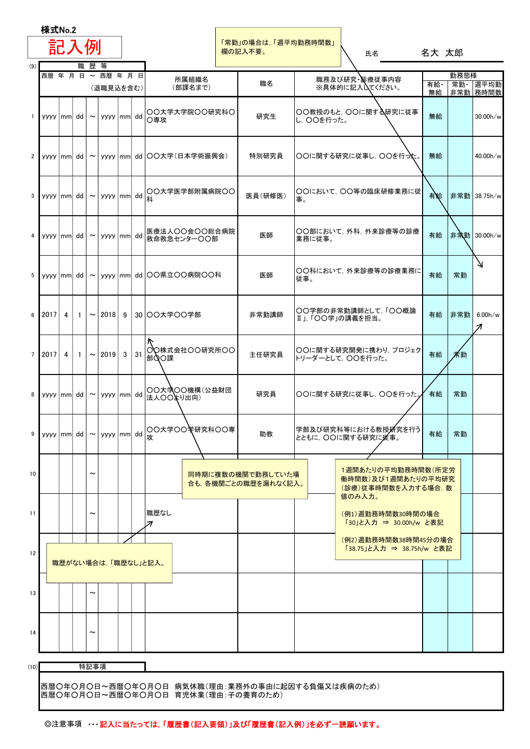|                    | 様式No.2                                           |  |            |           |  |  |                                                                                       |                                          |                                   |                                                                           |           |              |                               |
|--------------------|--------------------------------------------------|--|------------|-----------|--|--|---------------------------------------------------------------------------------------|------------------------------------------|-----------------------------------|---------------------------------------------------------------------------|-----------|--------------|-------------------------------|
| (9)                | 記入例                                              |  |            |           |  |  |                                                                                       | 「常勤」の場合は、「週平均勤務時間数」<br>欄の記入不要。           |                                   | 氏名                                                                        | 名大 太郎     |              |                               |
| 職歴等<br>西暦年月日~西暦年月日 |                                                  |  |            |           |  |  | 所属組織名                                                                                 |                                          |                                   | 職務及び研究 診療従事内容                                                             |           | 勤務態様         |                               |
|                    |                                                  |  |            | (退職見込を含む) |  |  | (部課名まで)                                                                               | 職名                                       |                                   | ※具体的に記入してください。                                                            | 有給·<br>無給 |              | 常勤· 週平均勤<br>非常勤 務時間数          |
| $\mathbf{1}$       | $\vert$ yyyy mm dd $\vert \sim \vert$ yyyy mm dd |  |            |           |  |  | ○○大学大学院○○研究科○<br>○専攻                                                                  | 研究生                                      | ○○教授のもと, ○○に関する研究に従事<br>し,〇〇を行った。 | 無給                                                                        |           | 30.00h/w     |                               |
| $2^{\circ}$        |                                                  |  |            |           |  |  | yyyy mm dd   ~   yyyy mm dd   OO大学(日本学術振興会)                                           | 特別研究員                                    |                                   | ○○に関する研究に従事し,○○を行った。                                                      | 無給        |              | 40.00h/w                      |
| 3 <sup>1</sup>     |                                                  |  |            |           |  |  | ┃ <sup>yyyy </sup> │mm│ dd│~│yyyy │mm│ dd│QO大学医学部附属病院OO                               | 医員(研修医)                                  | 事。                                | ○○において, ○○等の臨床研修業務に従                                                      | 有給        |              | 非常勤 38.75h/w                  |
| 4                  | yyyy mm dd ~ yyyy mm dd                          |  |            |           |  |  | 医療法人OO会OO総合病院<br>救命救急センター〇〇部                                                          | 医師                                       | ○○部において, 外科, 外来診療等の診療<br> 業務に従事。  | 有給                                                                        |           | 非常勤 30.00h/w |                               |
|                    |                                                  |  |            |           |  |  | 5   yyyy mm dd   ~   yyyy mm dd  OO県立OO病院OO科                                          | 医師                                       | 従事。                               | ○○科において, 外来診療等の診療業務に                                                      | 有給        | 常勤           | Ν                             |
| 6                  |                                                  |  |            |           |  |  | 2017 4 1   ~   2018 9   30   ○○大学○○学部                                                 | 非常勤講師                                    | Ⅱ」,「○○学」の講義を担当。                   | ○○学部の非常勤講師として,「○○概論                                                       | 有給        | 非常勤          | 6.00h/w<br>$\boldsymbol{\pi}$ |
| 7 <sup>1</sup>     | $2017$ 4 1 $\sim$ 2019 3 31                      |  |            |           |  |  | ○○株式会社○○研究所○○<br>部QO課                                                                 | 主任研究員                                    |                                   | ○○に関する研究開発に携わり, プロジェク <br>トリーダーとして、〇〇を行った。                                | 有給        | 常勤           |                               |
| 8                  | yyyy mm dd $\sim$ yyyy mm dd                     |  |            |           |  |  | ○○大学○○機構(公益財団<br>法人〇〇より出向)                                                            | 研究員                                      |                                   | ○○に関する研究に従事し、○○を行った。                                                      | 有給        | 常勤           |                               |
| 9                  | yyyy mm dd ~ yyyy mm dd                          |  |            |           |  |  | OO大学OOキ研究科OO専 <sub> </sub><br> 攻                                                      | 助教                                       |                                   | 学部及び研究科等における教授所究を行う<br>とともに,〇〇に関する研究に従事。                                  | 有給        | 常勤           |                               |
| 10 <sub>1</sub>    |                                                  |  | ∼          |           |  |  |                                                                                       | 同時期に複数の機関で勤務していた場<br>合も,各機関ごとの職歴を漏れなく記入。 |                                   | 1週間あたりの平均勤務時間数(所定労<br>働時間数)及び1週間あたりの平均研究<br>(診療)従事時間数を入力する場合, 数<br>値のみ入力。 |           |              |                               |
| 11                 |                                                  |  |            |           |  |  | 職歴なし<br>71                                                                            |                                          |                                   | (例1)週勤務時間数30時間の場合<br>「30」と入力 ⇒ 30.00h/w と表記                               |           |              |                               |
| 12                 |                                                  |  |            |           |  |  | 職歴がない場合は,「職歴なし」と記入。                                                                   |                                          |                                   | (例2)週勤務時間数38時間45分の場合<br>「38.75」と入力 ⇒ 38.75h/w と表記                         |           |              |                               |
| 13                 |                                                  |  | $\tilde{}$ |           |  |  |                                                                                       |                                          |                                   |                                                                           |           |              |                               |
| 14                 |                                                  |  |            |           |  |  |                                                                                       |                                          |                                   |                                                                           |           |              |                               |
| (10)               |                                                  |  | 特記事項       |           |  |  |                                                                                       |                                          |                                   |                                                                           |           |              |                               |
|                    |                                                  |  |            |           |  |  | 西暦〇年〇月〇日~西暦〇年〇月〇日 病気休職(理由:業務外の事由に起因する負傷又は疾病のため)<br>西暦〇年〇月〇日~西暦〇年〇月〇日 育児休業(理由:子の養育のため) |                                          |                                   |                                                                           |           |              |                               |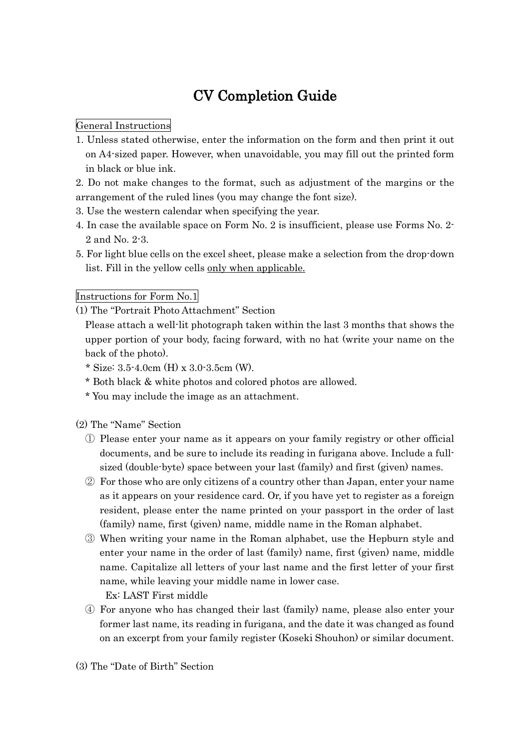# CV Completion Guide

## General Instructions

- 1. Unless stated otherwise, enter the information on the form and then print it out on A4-sized paper. However, when unavoidable, you may fill out the printed form in black or blue ink.
- 2. Do not make changes to the format, such as adjustment of the margins or the arrangement of the ruled lines (you may change the font size).
- 3. Use the western calendar when specifying the year.
- 4. In case the available space on Form No. 2 is insufficient, please use Forms No. 2- 2 and No. 2-3.
- 5. For light blue cells on the excel sheet, please make a selection from the drop-down list. Fill in the yellow cells only when applicable.

## Instructions for Form No.1

(1) The "Portrait Photo Attachment" Section

Please attach a well-lit photograph taken within the last 3 months that shows the upper portion of your body, facing forward, with no hat (write your name on the back of the photo).

- \* Size: 3.5-4.0cm (H) x 3.0-3.5cm (W).
- \* Both black & white photos and colored photos are allowed.
- \* You may include the image as an attachment.

(2) The "Name" Section

- ① Please enter your name as it appears on your family registry or other official documents, and be sure to include its reading in furigana above. Include a fullsized (double-byte) space between your last (family) and first (given) names.
- ② For those who are only citizens of a country other than Japan, enter your name as it appears on your residence card. Or, if you have yet to register as a foreign resident, please enter the name printed on your passport in the order of last (family) name, first (given) name, middle name in the Roman alphabet.
- ③ When writing your name in the Roman alphabet, use the Hepburn style and enter your name in the order of last (family) name, first (given) name, middle name. Capitalize all letters of your last name and the first letter of your first name, while leaving your middle name in lower case.

Ex: LAST First middle

④ For anyone who has changed their last (family) name, please also enter your former last name, its reading in furigana, and the date it was changed as found on an excerpt from your family register (Koseki Shouhon) or similar document.

(3) The "Date of Birth" Section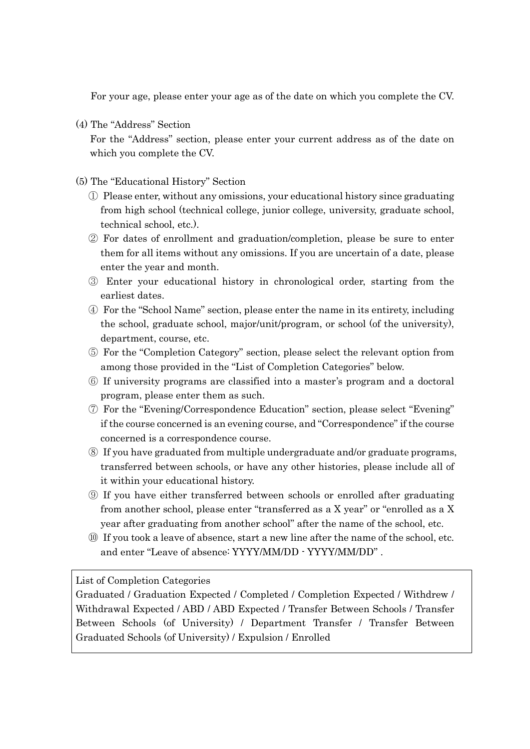For your age, please enter your age as of the date on which you complete the CV.

(4) The "Address" Section

For the "Address" section, please enter your current address as of the date on which you complete the CV.

(5) The "Educational History" Section

- ① Please enter, without any omissions, your educational history since graduating from high school (technical college, junior college, university, graduate school, technical school, etc.).
- ② For dates of enrollment and graduation/completion, please be sure to enter them for all items without any omissions. If you are uncertain of a date, please enter the year and month.
- ③ Enter your educational history in chronological order, starting from the earliest dates.
- ④ For the "School Name" section, please enter the name in its entirety, including the school, graduate school, major/unit/program, or school (of the university), department, course, etc.
- ⑤ For the "Completion Category" section, please select the relevant option from among those provided in the "List of Completion Categories" below.
- ⑥ If university programs are classified into a master's program and a doctoral program, please enter them as such.
- ⑦ For the "Evening/Correspondence Education" section, please select "Evening" if the course concerned is an evening course, and "Correspondence" if the course concerned is a correspondence course.
- ⑧ If you have graduated from multiple undergraduate and/or graduate programs, transferred between schools, or have any other histories, please include all of it within your educational history.
- ⑨ If you have either transferred between schools or enrolled after graduating from another school, please enter "transferred as a X year" or "enrolled as a X year after graduating from another school" after the name of the school, etc.
- ⑩ If you took a leave of absence, start a new line after the name of the school, etc. and enter "Leave of absence: YYYY/MM/DD - YYYY/MM/DD" .

List of Completion Categories

Graduated / Graduation Expected / Completed / Completion Expected / Withdrew / Withdrawal Expected / ABD / ABD Expected / Transfer Between Schools / Transfer Between Schools (of University) / Department Transfer / Transfer Between Graduated Schools (of University) / Expulsion / Enrolled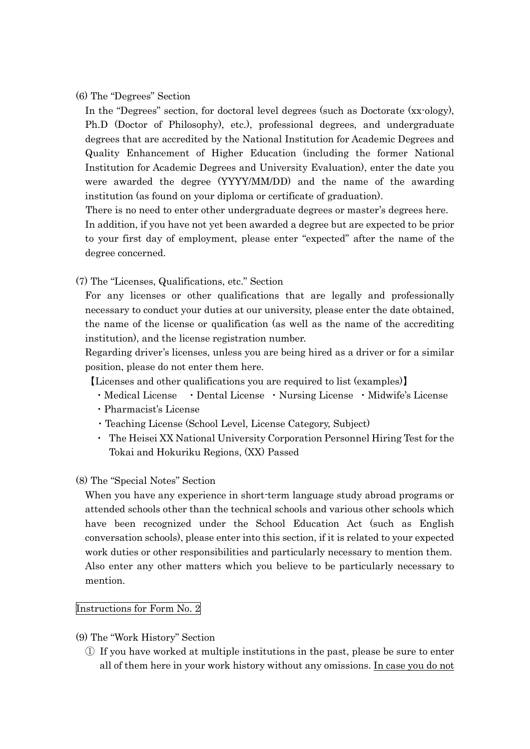#### (6) The "Degrees" Section

In the "Degrees" section, for doctoral level degrees (such as Doctorate (xx-ology), Ph.D (Doctor of Philosophy), etc.), professional degrees, and undergraduate degrees that are accredited by the National Institution for Academic Degrees and Quality Enhancement of Higher Education (including the former National Institution for Academic Degrees and University Evaluation), enter the date you were awarded the degree (YYYY/MM/DD) and the name of the awarding institution (as found on your diploma or certificate of graduation).

There is no need to enter other undergraduate degrees or master's degrees here.

In addition, if you have not yet been awarded a degree but are expected to be prior to your first day of employment, please enter "expected" after the name of the degree concerned.

(7) The "Licenses, Qualifications, etc." Section

For any licenses or other qualifications that are legally and professionally necessary to conduct your duties at our university, please enter the date obtained, the name of the license or qualification (as well as the name of the accrediting institution), and the license registration number.

Regarding driver's licenses, unless you are being hired as a driver or for a similar position, please do not enter them here.

【Licenses and other qualifications you are required to list (examples)】

- ・Medical License ・Dental License ・Nursing License ・Midwife's License
- ・Pharmacist's License
- ・Teaching License (School Level, License Category, Subject)
- ・ The Heisei XX National University Corporation Personnel Hiring Test for the Tokai and Hokuriku Regions, (XX) Passed
- (8) The "Special Notes" Section

When you have any experience in short-term language study abroad programs or attended schools other than the technical schools and various other schools which have been recognized under the School Education Act (such as English conversation schools), please enter into this section, if it is related to your expected work duties or other responsibilities and particularly necessary to mention them. Also enter any other matters which you believe to be particularly necessary to mention.

#### Instructions for Form No. 2

- (9) The "Work History" Section
	- ① If you have worked at multiple institutions in the past, please be sure to enter all of them here in your work history without any omissions. In case you do not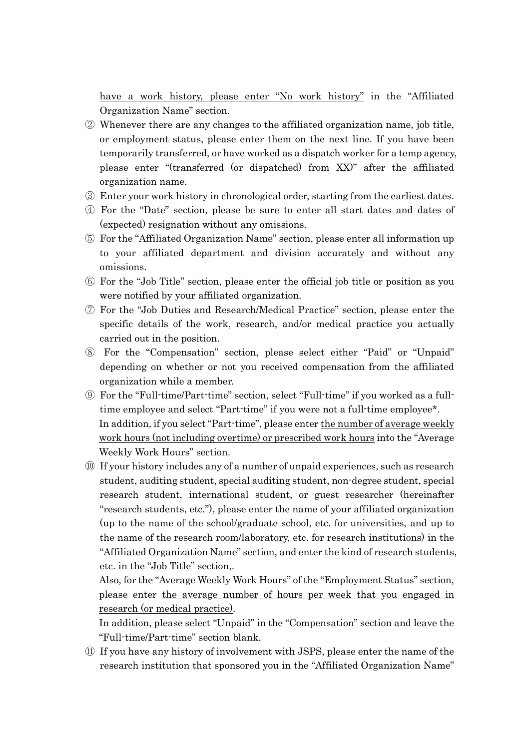have a work history, please enter "No work history" in the "Affiliated Organization Name" section.

- ② Whenever there are any changes to the affiliated organization name, job title, or employment status, please enter them on the next line. If you have been temporarily transferred, or have worked as a dispatch worker for a temp agency, please enter "(transferred (or dispatched) from XX)" after the affiliated organization name.
- ③ Enter your work history in chronological order, starting from the earliest dates.
- ④ For the "Date" section, please be sure to enter all start dates and dates of (expected) resignation without any omissions.
- ⑤ For the "Affiliated Organization Name" section, please enter all information up to your affiliated department and division accurately and without any omissions.
- ⑥ For the "Job Title" section, please enter the official job title or position as you were notified by your affiliated organization.
- ⑦ For the "Job Duties and Research/Medical Practice" section, please enter the specific details of the work, research, and/or medical practice you actually carried out in the position.
- ⑧ For the "Compensation" section, please select either "Paid" or "Unpaid" depending on whether or not you received compensation from the affiliated organization while a member.
- ⑨ For the "Full-time/Part-time" section, select "Full-time" if you worked as a fulltime employee and select "Part-time" if you were not a full-time employee\*. In addition, if you select "Part-time", please enter the number of average weekly work hours (not including overtime) or prescribed work hours into the "Average Weekly Work Hours" section.
- ⑩ If your history includes any of a number of unpaid experiences, such as research student, auditing student, special auditing student, non-degree student, special research student, international student, or guest researcher (hereinafter "research students, etc."), please enter the name of your affiliated organization (up to the name of the school/graduate school, etc. for universities, and up to the name of the research room/laboratory, etc. for research institutions) in the "Affiliated Organization Name" section, and enter the kind of research students, etc. in the "Job Title" section,.

Also, for the "Average Weekly Work Hours" of the "Employment Status" section, please enter the average number of hours per week that you engaged in research (or medical practice).

In addition, please select "Unpaid" in the "Compensation" section and leave the "Full-time/Part-time" section blank.

⑪ If you have any history of involvement with JSPS, please enter the name of the research institution that sponsored you in the "Affiliated Organization Name"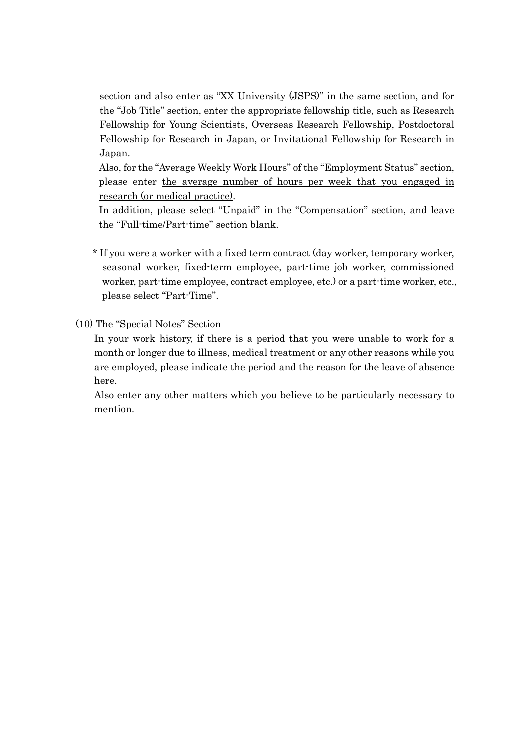section and also enter as "XX University (JSPS)" in the same section, and for the "Job Title" section, enter the appropriate fellowship title, such as Research Fellowship for Young Scientists, Overseas Research Fellowship, Postdoctoral Fellowship for Research in Japan, or Invitational Fellowship for Research in Japan.

Also, for the "Average Weekly Work Hours" of the "Employment Status" section, please enter the average number of hours per week that you engaged in research (or medical practice).

In addition, please select "Unpaid" in the "Compensation" section, and leave the "Full-time/Part-time" section blank.

\* If you were a worker with a fixed term contract (day worker, temporary worker, seasonal worker, fixed-term employee, part-time job worker, commissioned worker, part-time employee, contract employee, etc.) or a part-time worker, etc., please select "Part-Time".

(10) The "Special Notes" Section

In your work history, if there is a period that you were unable to work for a month or longer due to illness, medical treatment or any other reasons while you are employed, please indicate the period and the reason for the leave of absence here.

Also enter any other matters which you believe to be particularly necessary to mention.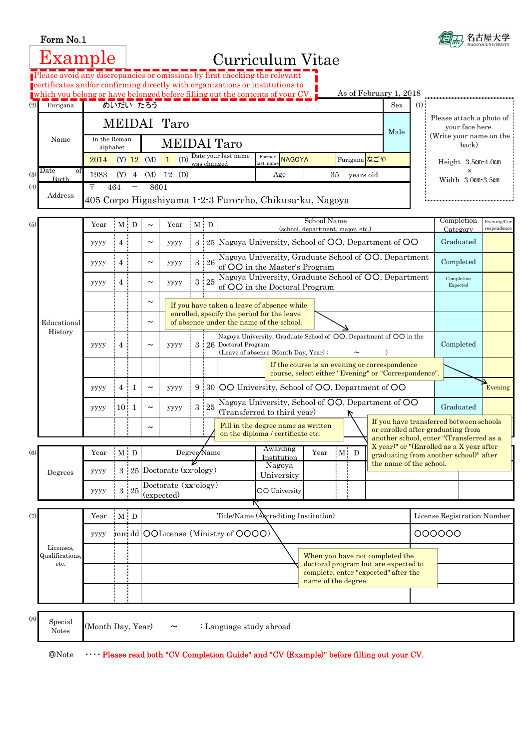$\sqrt{ }$ 



|     | Example                      |                                                                                                   |                                                                   |                                                                                                                                   |                                                                                                                                                  |                                                                                                     |  |             |                                                                                                                                                 | Curriculum Vitae                                                                                                                                            |      |  |                                   |                                 |                                                                                    |                                  |                                                                                                                          |                            |  |
|-----|------------------------------|---------------------------------------------------------------------------------------------------|-------------------------------------------------------------------|-----------------------------------------------------------------------------------------------------------------------------------|--------------------------------------------------------------------------------------------------------------------------------------------------|-----------------------------------------------------------------------------------------------------|--|-------------|-------------------------------------------------------------------------------------------------------------------------------------------------|-------------------------------------------------------------------------------------------------------------------------------------------------------------|------|--|-----------------------------------|---------------------------------|------------------------------------------------------------------------------------|----------------------------------|--------------------------------------------------------------------------------------------------------------------------|----------------------------|--|
|     |                              |                                                                                                   |                                                                   |                                                                                                                                   |                                                                                                                                                  |                                                                                                     |  |             |                                                                                                                                                 | Please avoid any discrepancies or omissions by first checking the relevant<br>certificates and/or confirming directly with organizations or institutions to |      |  |                                   |                                 |                                                                                    |                                  |                                                                                                                          |                            |  |
| (2) | Furigana                     |                                                                                                   |                                                                   | As of February 1, 2018<br>which you belong or have belonged before filling out the contents of your CV.<br>めいだい たろう<br>Sex<br>(1) |                                                                                                                                                  |                                                                                                     |  |             |                                                                                                                                                 |                                                                                                                                                             |      |  |                                   |                                 |                                                                                    |                                  |                                                                                                                          |                            |  |
|     |                              |                                                                                                   |                                                                   |                                                                                                                                   |                                                                                                                                                  | MEIDAI Taro                                                                                         |  |             |                                                                                                                                                 |                                                                                                                                                             |      |  |                                   |                                 | Male                                                                               |                                  | Please attach a photo of<br>your face here.                                                                              |                            |  |
|     | Name                         | In the Roman                                                                                      | alphabet                                                          |                                                                                                                                   |                                                                                                                                                  | <b>MEIDAI</b> Taro                                                                                  |  |             |                                                                                                                                                 |                                                                                                                                                             |      |  |                                   |                                 |                                                                                    | (Write your name on the<br>back) |                                                                                                                          |                            |  |
|     |                              | 2014                                                                                              |                                                                   |                                                                                                                                   | Date your last name<br>Former<br>(D)<br>Furigana <mark>なごや</mark><br>$(Y)$ 12 $(M)$<br><b>NAGOYA</b><br>$\mathbf{1}$<br>was changed<br>last name |                                                                                                     |  |             |                                                                                                                                                 |                                                                                                                                                             |      |  |                                   |                                 |                                                                                    | Height 3.5cm-4.0cm               |                                                                                                                          |                            |  |
| (3) | Date<br>οf<br>Birth          | 1983                                                                                              | $(Y)$ 4                                                           |                                                                                                                                   | (M)<br>$12 \quad (D)$                                                                                                                            |                                                                                                     |  |             | Age<br>35<br>vears old                                                                                                                          |                                                                                                                                                             |      |  |                                   |                                 | $\times$<br>Width 3.0cm-3.5cm                                                      |                                  |                                                                                                                          |                            |  |
| (4) | Address                      | Ŧ<br>464<br>8601<br>$\qquad \qquad -$<br>405 Corpo Higashiyama 1-2-3 Furo-cho, Chikusa-ku, Nagoya |                                                                   |                                                                                                                                   |                                                                                                                                                  |                                                                                                     |  |             |                                                                                                                                                 |                                                                                                                                                             |      |  |                                   |                                 |                                                                                    |                                  |                                                                                                                          |                            |  |
| (5) |                              | Year                                                                                              | $M$ D<br>$\mathbf{M}$ $\cdot$ $\mathbf{D}$<br>Year<br>$\thicksim$ |                                                                                                                                   |                                                                                                                                                  |                                                                                                     |  |             |                                                                                                                                                 | School Name                                                                                                                                                 |      |  |                                   |                                 |                                                                                    | Completion                       |                                                                                                                          | Evening/Cor<br>respondence |  |
|     |                              | уууу                                                                                              | 4                                                                 |                                                                                                                                   | $\thicksim$                                                                                                                                      | уууу                                                                                                |  |             |                                                                                                                                                 | 3 : 25 Nagoya University, School of OO, Department of OO                                                                                                    |      |  | (school, department, major, etc.) |                                 |                                                                                    |                                  | Graduated                                                                                                                | Category                   |  |
|     |                              | уууу                                                                                              | 4                                                                 |                                                                                                                                   | $\tilde{}$                                                                                                                                       | уууу                                                                                                |  | 3 26        |                                                                                                                                                 | Nagoya University, Graduate School of OO, Department<br>of OO in the Master's Program                                                                       |      |  |                                   |                                 |                                                                                    |                                  | Completed                                                                                                                |                            |  |
|     |                              | уууу                                                                                              | 4                                                                 |                                                                                                                                   | $\thicksim$                                                                                                                                      | уууу                                                                                                |  | $3 \t25$    |                                                                                                                                                 | Nagoya University, Graduate School of OO, Department<br>of OO in the Doctoral Program                                                                       |      |  |                                   |                                 |                                                                                    |                                  | Completion<br>Expected                                                                                                   |                            |  |
|     |                              |                                                                                                   |                                                                   |                                                                                                                                   | $\thicksim$                                                                                                                                      |                                                                                                     |  |             |                                                                                                                                                 | If you have taken a leave of absence while                                                                                                                  |      |  |                                   |                                 |                                                                                    |                                  |                                                                                                                          |                            |  |
|     | Educational<br>History       |                                                                                                   |                                                                   |                                                                                                                                   | $\tilde{\phantom{0}}$                                                                                                                            |                                                                                                     |  |             |                                                                                                                                                 | enrolled, specify the period for the leave<br>of absence under the name of the school.                                                                      |      |  |                                   |                                 |                                                                                    |                                  |                                                                                                                          |                            |  |
|     |                              | уууу                                                                                              | 4                                                                 |                                                                                                                                   | $\thicksim$                                                                                                                                      | уууу                                                                                                |  |             | Nagoya University, Graduate School of OO, Department of OO in the<br>3 26 Doctoral Program<br>Completed<br>(Leave of absence (Month Day, Year): |                                                                                                                                                             |      |  |                                   |                                 |                                                                                    |                                  |                                                                                                                          |                            |  |
|     |                              |                                                                                                   |                                                                   |                                                                                                                                   |                                                                                                                                                  |                                                                                                     |  |             | If the course is an evening or correspondence<br>course, select either "Evening" or "Correspondence".                                           |                                                                                                                                                             |      |  |                                   |                                 |                                                                                    |                                  |                                                                                                                          |                            |  |
|     |                              | уууу                                                                                              | 4                                                                 | $\frac{1}{2}$                                                                                                                     | $\tilde{\phantom{a}}$                                                                                                                            | уууу                                                                                                |  |             | 9 : 30 OO University, School of OO, Department of OO                                                                                            |                                                                                                                                                             |      |  |                                   |                                 |                                                                                    | Evening                          |                                                                                                                          |                            |  |
|     |                              | уууу                                                                                              | $10 \quad 1$                                                      |                                                                                                                                   | $\thicksim$                                                                                                                                      | уууу                                                                                                |  | $3\cdot 25$ |                                                                                                                                                 | Nagoya University, School of OO, Department of OO<br>(Transferred to third year)                                                                            |      |  |                                   |                                 |                                                                                    |                                  | Graduated                                                                                                                |                            |  |
|     |                              |                                                                                                   |                                                                   |                                                                                                                                   | $\tilde{}$                                                                                                                                       |                                                                                                     |  |             |                                                                                                                                                 | Fill in the degree name as written<br>on the diploma / certificate etc.                                                                                     |      |  |                                   |                                 |                                                                                    |                                  | If you have transferred between schools<br>or enrolled after graduating from<br>another school, enter "(Transferred as a |                            |  |
| (6) |                              | Year                                                                                              |                                                                   | $M$ D                                                                                                                             |                                                                                                                                                  | Degree Name                                                                                         |  |             |                                                                                                                                                 | Awarding                                                                                                                                                    | Year |  | $M$ D                             |                                 | X year)" or "(Enrolled as a X year after<br>graduating from another school)" after |                                  |                                                                                                                          |                            |  |
|     | Degrees                      | уууу                                                                                              |                                                                   |                                                                                                                                   |                                                                                                                                                  | $3:25$ Doctorate (xx ology)                                                                         |  |             |                                                                                                                                                 | Institution<br>the name of the school.<br>Nagoya<br>University                                                                                              |      |  |                                   |                                 |                                                                                    |                                  |                                                                                                                          |                            |  |
|     |                              | уууу                                                                                              |                                                                   | 3 25                                                                                                                              |                                                                                                                                                  | Doctorate (xx-ology)<br>(expected)                                                                  |  |             |                                                                                                                                                 | <b>OO</b> University                                                                                                                                        |      |  |                                   |                                 |                                                                                    |                                  |                                                                                                                          |                            |  |
| (7) |                              | Year                                                                                              |                                                                   | $\mathbf{M}$ $\cdot$ $\mathbf{D}$                                                                                                 |                                                                                                                                                  |                                                                                                     |  |             | Title/Name (Accrediting Institution)                                                                                                            |                                                                                                                                                             |      |  |                                   | License Registration Number     |                                                                                    |                                  |                                                                                                                          |                            |  |
|     |                              | уууу                                                                                              |                                                                   |                                                                                                                                   |                                                                                                                                                  | mm dd OOLicense (Ministry of OOOO)                                                                  |  |             |                                                                                                                                                 |                                                                                                                                                             |      |  |                                   |                                 | 000000                                                                             |                                  |                                                                                                                          |                            |  |
|     | Licenses,<br>Qualifications, |                                                                                                   |                                                                   |                                                                                                                                   |                                                                                                                                                  |                                                                                                     |  |             |                                                                                                                                                 |                                                                                                                                                             |      |  |                                   | When you have not completed the |                                                                                    |                                  |                                                                                                                          |                            |  |
|     | etc.                         |                                                                                                   |                                                                   |                                                                                                                                   |                                                                                                                                                  | doctoral program but are expected to<br>complete, enter "expected" after the<br>name of the degree. |  |             |                                                                                                                                                 |                                                                                                                                                             |      |  |                                   |                                 |                                                                                    |                                  |                                                                                                                          |                            |  |
|     |                              |                                                                                                   |                                                                   |                                                                                                                                   |                                                                                                                                                  |                                                                                                     |  |             |                                                                                                                                                 |                                                                                                                                                             |      |  |                                   |                                 |                                                                                    |                                  |                                                                                                                          |                            |  |
| (8) | Special<br><b>Notes</b>      | (Month Day, Year)                                                                                 |                                                                   |                                                                                                                                   |                                                                                                                                                  |                                                                                                     |  |             | : Language study abroad                                                                                                                         |                                                                                                                                                             |      |  |                                   |                                 |                                                                                    |                                  |                                                                                                                          |                            |  |
|     |                              |                                                                                                   |                                                                   |                                                                                                                                   |                                                                                                                                                  |                                                                                                     |  |             |                                                                                                                                                 |                                                                                                                                                             |      |  |                                   |                                 |                                                                                    |                                  |                                                                                                                          |                            |  |

◎Note ・・・・ Please read both "CV Completion Guide" and "CV (Example)" before filling out your CV.